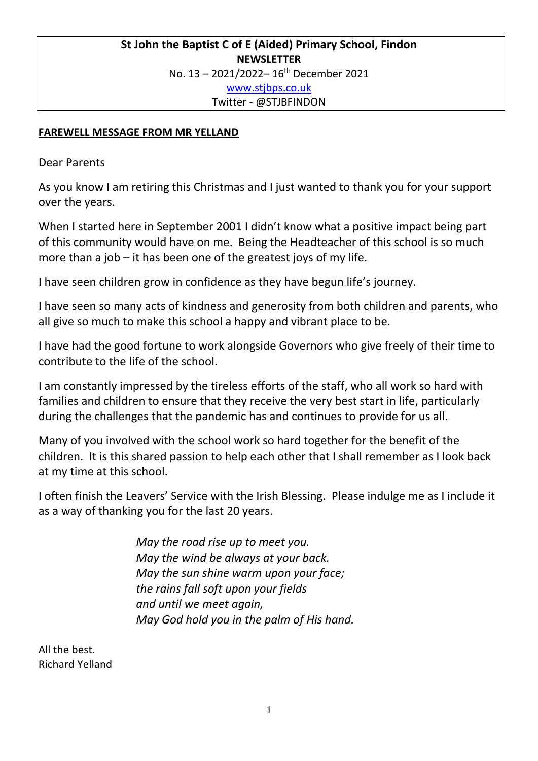# **St John the Baptist C of E (Aided) Primary School, Findon NEWSLETTER** No. 13 – 2021/2022– 16th December 2021 [www.stjbps.co.uk](http://www.stjbps.co.uk/) Twitter - @STJBFINDON

## **FAREWELL MESSAGE FROM MR YELLAND**

Dear Parents

As you know I am retiring this Christmas and I just wanted to thank you for your support over the years.

When I started here in September 2001 I didn't know what a positive impact being part of this community would have on me. Being the Headteacher of this school is so much more than a job – it has been one of the greatest joys of my life.

I have seen children grow in confidence as they have begun life's journey.

I have seen so many acts of kindness and generosity from both children and parents, who all give so much to make this school a happy and vibrant place to be.

I have had the good fortune to work alongside Governors who give freely of their time to contribute to the life of the school.

I am constantly impressed by the tireless efforts of the staff, who all work so hard with families and children to ensure that they receive the very best start in life, particularly during the challenges that the pandemic has and continues to provide for us all.

Many of you involved with the school work so hard together for the benefit of the children. It is this shared passion to help each other that I shall remember as I look back at my time at this school.

I often finish the Leavers' Service with the Irish Blessing. Please indulge me as I include it as a way of thanking you for the last 20 years.

> *May the road rise up to meet you. May the wind be always at your back. May the sun shine warm upon your face; the rains fall soft upon your fields and until we meet again, May God hold you in the palm of His hand.*

All the best. Richard Yelland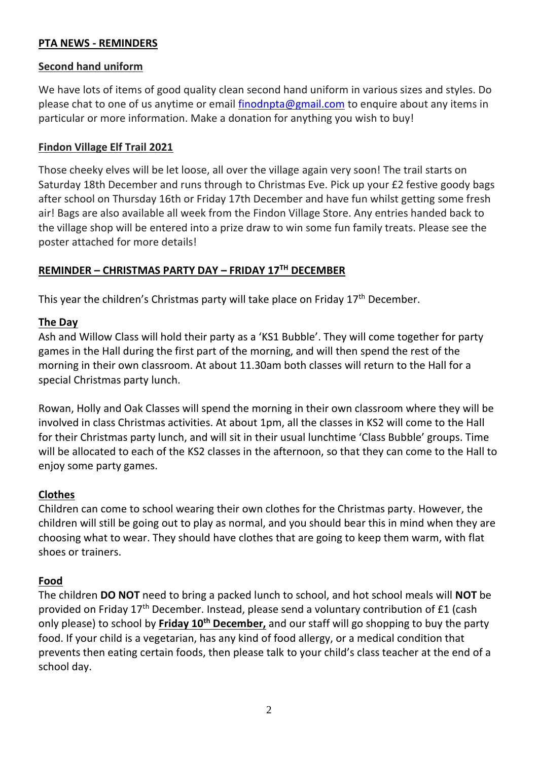### **PTA NEWS - REMINDERS**

#### **Second hand uniform**

We have lots of items of good quality clean second hand uniform in various sizes and styles. Do please chat to one of us anytime or email [finodnpta@gmail.com](mailto:finodnpta@gmail.com) to enquire about any items in particular or more information. Make a donation for anything you wish to buy!

#### **Findon Village Elf Trail 2021**

Those cheeky elves will be let loose, all over the village again very soon! The trail starts on Saturday 18th December and runs through to Christmas Eve. Pick up your £2 festive goody bags after school on Thursday 16th or Friday 17th December and have fun whilst getting some fresh air! Bags are also available all week from the Findon Village Store. Any entries handed back to the village shop will be entered into a prize draw to win some fun family treats. Please see the poster attached for more details!

### **REMINDER – CHRISTMAS PARTY DAY – FRIDAY 17TH DECEMBER**

This year the children's Christmas party will take place on Friday  $17<sup>th</sup>$  December.

#### **The Day**

Ash and Willow Class will hold their party as a 'KS1 Bubble'. They will come together for party games in the Hall during the first part of the morning, and will then spend the rest of the morning in their own classroom. At about 11.30am both classes will return to the Hall for a special Christmas party lunch.

Rowan, Holly and Oak Classes will spend the morning in their own classroom where they will be involved in class Christmas activities. At about 1pm, all the classes in KS2 will come to the Hall for their Christmas party lunch, and will sit in their usual lunchtime 'Class Bubble' groups. Time will be allocated to each of the KS2 classes in the afternoon, so that they can come to the Hall to enjoy some party games.

### **Clothes**

Children can come to school wearing their own clothes for the Christmas party. However, the children will still be going out to play as normal, and you should bear this in mind when they are choosing what to wear. They should have clothes that are going to keep them warm, with flat shoes or trainers.

#### **Food**

The children **DO NOT** need to bring a packed lunch to school, and hot school meals will **NOT** be provided on Friday  $17<sup>th</sup>$  December. Instead, please send a voluntary contribution of £1 (cash only please) to school by **Friday 10th December,** and our staff will go shopping to buy the party food. If your child is a vegetarian, has any kind of food allergy, or a medical condition that prevents then eating certain foods, then please talk to your child's class teacher at the end of a school day.